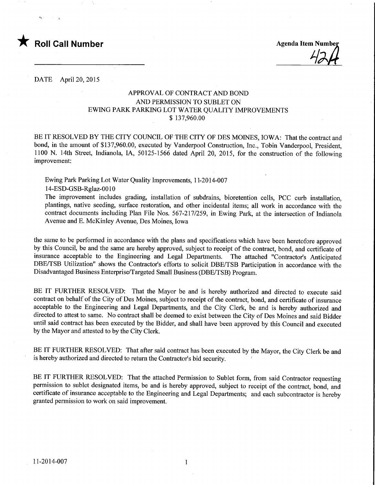

DATE April 20, 2015

### APPROVAL OF CONTRACT AND BOND AND PERMISSION TO SUBLET ON EWING PARK PARKING LOT WATER QUALITY IMPROVEMENTS \$ 137,960.00

BE IT RESOLVED BY THE CITY COUNCIL OF THE CITY OF DES MOINES, IOWA: That the contract and bond, in the amount of \$137,960.00, executed by Vanderpool Construction, Inc., Tobin Vanderpool, President, 1100 N. 14th Street, Indianola, IA, 50125-1566 dated April 20, 2015, for the construction of the following improvement:

Ewing Park Parking Lot Water Quality Improvements, 11-2014-007

14-ESD-GSB-Rglaz-OO 10

The improvement includes grading, installation of subdrains, bioretention cells, PCC curb installation, plantings, native seeding, surface restoration, and other incidental items; all work in accordance with the contract documents including Plan File Nos. 567-217/259, in Ewing Park, at the intersection of Indianola Avenue and E. McKinley Avenue, Des Moines, Iowa

the same to be performed in accordance with the plans and specifications which have been heretofore approved by this Council, be and the same are hereby approved, subject to receipt of the contract, bond, and certificate of insurance acceptable to the Engineering and Legal Departments. The attached "Contractor's Anticipated DBE/TSB Utilization" shows the Contractor's efforts to solicit DBE/TSB Participation in accordance with the Disadvantaged Business Enterprise/Targeted Small Business (DBE/TSB) Program.

BE IT FURTHER RESOLVED: That the Mayor be and is hereby authorized and directed to execute said contract on behalf of the City of Des Moines, subject to receipt of the contract, bond, and certificate of insurance acceptable to the Engineering and Legal Departments, and the City Clerk, be and is hereby authorized and directed to attest to same. No contract shall be deemed to exist between the City of Des Moines and said Bidder until said contract has been executed by the Bidder, and shall have been approved by this Council and executed by the Mayor and attested to by the City Clerk.

BE IT FURTHER RESOLVED: That after said contract has been executed by the Mayor, the City Clerk be and is hereby authorized and directed to return the Contractor's bid security. '

BE IT FURTHER RESOLVED: That the attached Permission to Sublet form, from said Contractor requesting permission to sublet designated items, be and is hereby approved, subject to receipt of the contract, bond, and certificate of insurance acceptable to the Engineering and Legal Departments; and each subcontractor is hereby granted permission to work on said improvement.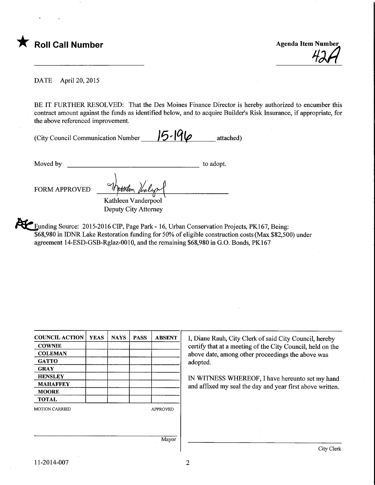

 $42A$ 

DATE April 20, 2015

BE IT FURTHER RESOLVED: That the Des Moines Finance Director is hereby authorized to encumber this contract amount against the funds as identified below, and to acquire Builder's Risk Insurance, if appropriate, for the above referenced improvement.

| (City Council Communication Number | $15 - 196$ | attached) |
|------------------------------------|------------|-----------|
|------------------------------------|------------|-----------|

Moved by to adopt.

FORM APPROVED

Kathleen Vanderpool Deputy City Attorney

 $\gamma$ 

Funding Source: 2015-2016 CIP, Page Park - 16, Urban Conservation Projects, PK167, Being: \$68,980 in IDNR Lake Restoration funding for 50% of eligible construction costs (Max \$82,500) under agreement 14-ESD-GSB-Rglaz-OOlO, and the remaining \$68,980 in G.O. Bonds, PK167

| <b>COUNCIL ACTION</b> | <b>YEAS</b> | <b>NAYS</b> | <b>PASS</b> | <b>ABSENT</b>   |
|-----------------------|-------------|-------------|-------------|-----------------|
| <b>COWNIE</b>         |             |             |             |                 |
| <b>COLEMAN</b>        |             |             |             |                 |
| <b>GATTO</b>          |             |             |             |                 |
| <b>GRAY</b>           |             |             |             |                 |
| <b>HENSLEY</b>        |             |             |             |                 |
| <b>MAHAFFEY</b>       |             |             |             |                 |
| <b>MOORE</b>          |             |             |             |                 |
| <b>TOTAL</b>          |             |             |             |                 |
| <b>MOTION CARRIED</b> |             |             |             | <b>APPROVED</b> |
|                       |             |             |             |                 |
|                       |             |             |             | Mayor           |

I, Diane Rauh, City Clerk of said City Council, hereby certify that at a meeting of the City Council, held on the above date, among other proceedings the above was adopted.

IN WITNESS WHEREOF, I have hereunto set my hand and affixed my seal the day and year first above written.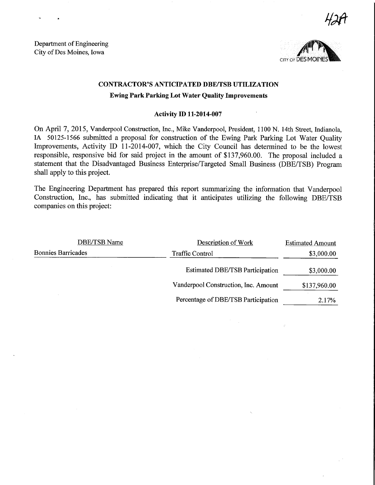$H$ aft

Department of Engineering City of Des Moines, Iowa



## CONTRACTOR'S ANTICIPATED DBE/TSB UTILIZATION

### Ewing Park Parking Lot Water Quality Improvements

#### Activity D) 11-2014-007

On April 7, 2015, Vanderpool Construction, Inc., Mike Vanderpool, President, 1100 N. 14th Street, Indianola, IA 50125-1566 submitted a proposal for construction of the Ewing Park Parking Lot Water Quality Improvements, Activity ID 11-2014-007, which the City Council has determined to be the lowest responsible, responsive bid for said project in the amount of \$137,960.00. The proposal included a statement that the Disadvantaged Business Enterprise/Targeted Small Business (DBE/TSB) Program shall apply to this project.

The Engineering Department has prepared this report summarizing the information that Vanderpool Construction, Inc., has submitted indicating that it anticipates utilizing the following DBE/TSB companies on this project:

| DBE/TSB Name              | Description of Work                    | <b>Estimated Amount</b> |
|---------------------------|----------------------------------------|-------------------------|
| <b>Bonnies Barricades</b> | <b>Traffic Control</b>                 | \$3,000.00              |
|                           | <b>Estimated DBE/TSB Participation</b> | \$3,000.00              |
|                           | Vanderpool Construction, Inc. Amount   | \$137,960.00            |
|                           | Percentage of DBE/TSB Participation    | 2.17%                   |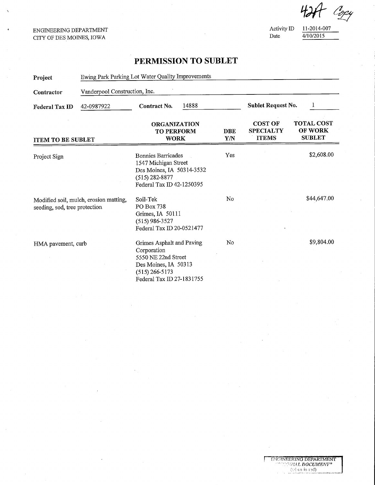#### ENGINEERING DEPARTMENT CITY OF DES MOINES, IOWA

Activity ID  $\frac{11-2014-007}{4/10/2015}$  $\frac{4}{10/2015}$ 

GNG UNGERING DEFARTMENT  $\langle \forall \vec{x}$  in red)

 $424$  Copy

# PERMISSION TO SUBLET

| Project                                                                 | Ewing Park Parking Lot Water Quality Improvements |                                                                                                                                          |                                       |                                                    |                                               |
|-------------------------------------------------------------------------|---------------------------------------------------|------------------------------------------------------------------------------------------------------------------------------------------|---------------------------------------|----------------------------------------------------|-----------------------------------------------|
| Contractor                                                              | Vanderpool Construction, Inc.                     |                                                                                                                                          |                                       |                                                    |                                               |
| 42-0987922<br><b>Federal Tax ID</b>                                     |                                                   | 14888<br>Contract No.                                                                                                                    |                                       | Sublet Request No.<br>1                            |                                               |
| <b>ITEM TO BE SUBLET</b>                                                |                                                   | <b>ORGANIZATION</b><br><b>TO PERFORM</b><br><b>WORK</b>                                                                                  | <b>DBE</b><br>$\mathbf{Y}/\mathbf{N}$ | <b>COST OF</b><br><b>SPECIALTY</b><br><b>ITEMS</b> | <b>TOTAL COST</b><br>OF WORK<br><b>SUBLET</b> |
| Project Sign                                                            |                                                   | <b>Bonnies Barricades</b><br>1547 Michigan Street<br>Des Moines, IA 50314-3532<br>$(515)$ 282-8877<br>Federal Tax ID 42-1250395          | Yes                                   |                                                    | \$2,608.00                                    |
| Modified soil, mulch, erosion matting,<br>seeding, sod, tree protection |                                                   | Soil-Tek<br>PO Box 738<br>Grimes, IA 50111<br>$(515)$ 986-3527<br>Federal Tax ID 20-0521477                                              | No                                    |                                                    | \$44,647.00                                   |
| HMA pavement, curb                                                      |                                                   | Grimes Asphalt and Paving<br>Corporation<br>5550 NE 22nd Street<br>Des Moines, IA 50313<br>$(515)$ 266-5173<br>Federal Tax ID 27-1831755 | No                                    |                                                    | \$9,804.00                                    |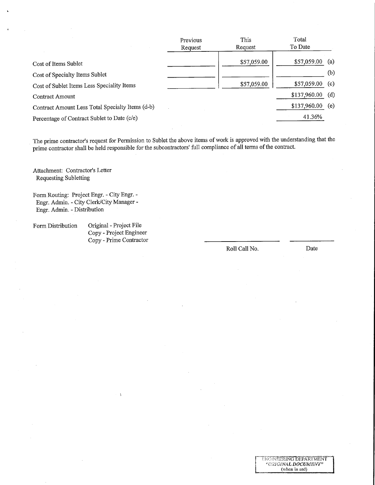| Previous | This        | Total        |             |
|----------|-------------|--------------|-------------|
| Request  | Request     | To Date      |             |
|          |             |              | (a)         |
|          |             |              |             |
|          |             |              | (b)         |
|          | \$57,059.00 | \$57,059.00  | (c)         |
|          |             | \$137,960.00 | (d)         |
|          |             | \$137,960.00 | (e)         |
|          |             | 41.36%       |             |
|          |             | \$57,059.00  | \$57,059.00 |

The prime contractor's request for Permission to Sublet the above items of work is approved with the understanding that the prime contractor shall be held responsible for the subcontractors' full compliance of all terms of the contract.

Attachment: Contractor's Letter Requesting Subletting

Form Routing: Project Engr. - City Engr. - Engr. Admm. - City Clerk/City Manager - Engr. Admin. - Distribution

Form Distribution Original - Project File Copy - Project Engmeer Copy - Prime Contractor

 $\lambda$ 

Roll Call No. Date

**INGUNEERING DEFARTMENT** (when in red) **ENGINEERING DEFARTMENT** 

"\_